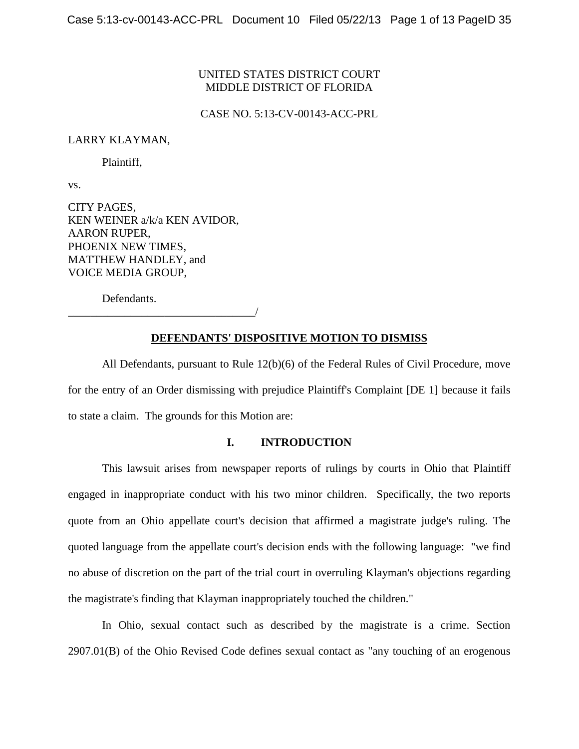# UNITED STATES DISTRICT COURT MIDDLE DISTRICT OF FLORIDA

CASE NO. 5:13-CV-00143-ACC-PRL

#### LARRY KLAYMAN,

Plaintiff,

vs.

CITY PAGES, KEN WEINER a/k/a KEN AVIDOR, AARON RUPER, PHOENIX NEW TIMES, MATTHEW HANDLEY, and VOICE MEDIA GROUP,

Defendants.

\_\_\_\_\_\_\_\_\_\_\_\_\_\_\_\_\_\_\_\_\_\_\_\_\_\_\_\_\_\_\_\_\_/

# **DEFENDANTS' DISPOSITIVE MOTION TO DISMISS**

All Defendants, pursuant to Rule 12(b)(6) of the Federal Rules of Civil Procedure, move for the entry of an Order dismissing with prejudice Plaintiff's Complaint [DE 1] because it fails to state a claim. The grounds for this Motion are:

# **I. INTRODUCTION**

This lawsuit arises from newspaper reports of rulings by courts in Ohio that Plaintiff engaged in inappropriate conduct with his two minor children. Specifically, the two reports quote from an Ohio appellate court's decision that affirmed a magistrate judge's ruling. The quoted language from the appellate court's decision ends with the following language: "we find no abuse of discretion on the part of the trial court in overruling Klayman's objections regarding the magistrate's finding that Klayman inappropriately touched the children."

In Ohio, sexual contact such as described by the magistrate is a crime. Section 2907.01(B) of the Ohio Revised Code defines sexual contact as "any touching of an erogenous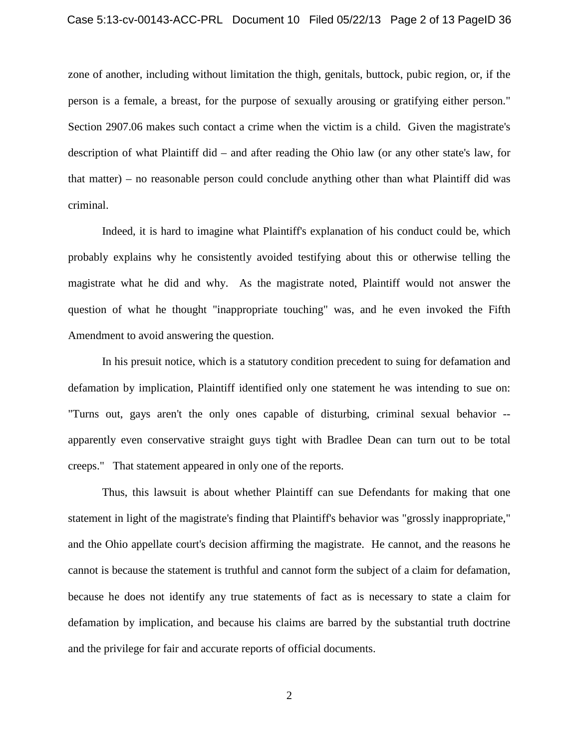#### Case 5:13-cv-00143-ACC-PRL Document 10 Filed 05/22/13 Page 2 of 13 PageID 36

zone of another, including without limitation the thigh, genitals, buttock, pubic region, or, if the person is a female, a breast, for the purpose of sexually arousing or gratifying either person." Section 2907.06 makes such contact a crime when the victim is a child. Given the magistrate's description of what Plaintiff did – and after reading the Ohio law (or any other state's law, for that matter) – no reasonable person could conclude anything other than what Plaintiff did was criminal.

Indeed, it is hard to imagine what Plaintiff's explanation of his conduct could be, which probably explains why he consistently avoided testifying about this or otherwise telling the magistrate what he did and why. As the magistrate noted, Plaintiff would not answer the question of what he thought "inappropriate touching" was, and he even invoked the Fifth Amendment to avoid answering the question.

In his presuit notice, which is a statutory condition precedent to suing for defamation and defamation by implication, Plaintiff identified only one statement he was intending to sue on: "Turns out, gays aren't the only ones capable of disturbing, criminal sexual behavior - apparently even conservative straight guys tight with Bradlee Dean can turn out to be total creeps." That statement appeared in only one of the reports.

Thus, this lawsuit is about whether Plaintiff can sue Defendants for making that one statement in light of the magistrate's finding that Plaintiff's behavior was "grossly inappropriate," and the Ohio appellate court's decision affirming the magistrate. He cannot, and the reasons he cannot is because the statement is truthful and cannot form the subject of a claim for defamation, because he does not identify any true statements of fact as is necessary to state a claim for defamation by implication, and because his claims are barred by the substantial truth doctrine and the privilege for fair and accurate reports of official documents.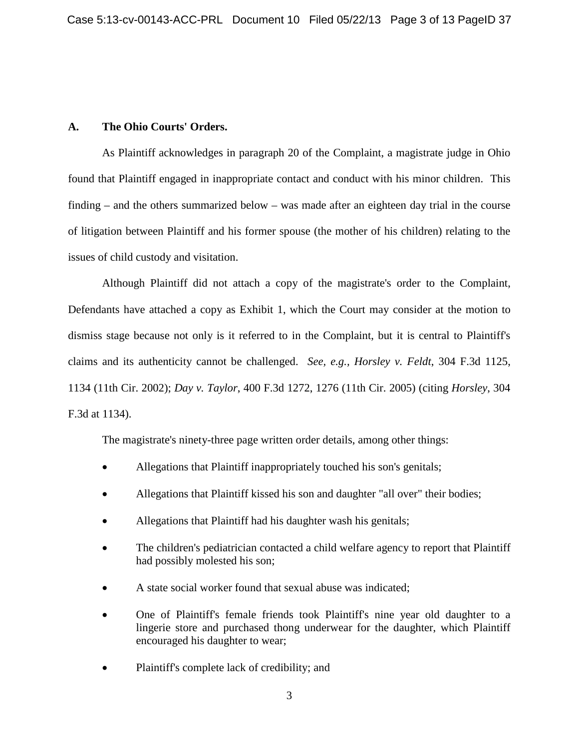# **A. The Ohio Courts' Orders.**

As Plaintiff acknowledges in paragraph 20 of the Complaint, a magistrate judge in Ohio found that Plaintiff engaged in inappropriate contact and conduct with his minor children. This finding – and the others summarized below – was made after an eighteen day trial in the course of litigation between Plaintiff and his former spouse (the mother of his children) relating to the issues of child custody and visitation.

Although Plaintiff did not attach a copy of the magistrate's order to the Complaint, Defendants have attached a copy as Exhibit 1, which the Court may consider at the motion to dismiss stage because not only is it referred to in the Complaint, but it is central to Plaintiff's claims and its authenticity cannot be challenged. *See, e.g., Horsley v. Feldt*, 304 F.3d 1125, 1134 (11th Cir. 2002); *Day v. Taylor*, 400 F.3d 1272, 1276 (11th Cir. 2005) (citing *Horsley*, 304 F.3d at 1134).

The magistrate's ninety-three page written order details, among other things:

- Allegations that Plaintiff inappropriately touched his son's genitals;
- Allegations that Plaintiff kissed his son and daughter "all over" their bodies;
- Allegations that Plaintiff had his daughter wash his genitals;
- The children's pediatrician contacted a child welfare agency to report that Plaintiff had possibly molested his son;
- A state social worker found that sexual abuse was indicated;
- One of Plaintiff's female friends took Plaintiff's nine year old daughter to a lingerie store and purchased thong underwear for the daughter, which Plaintiff encouraged his daughter to wear;
- Plaintiff's complete lack of credibility; and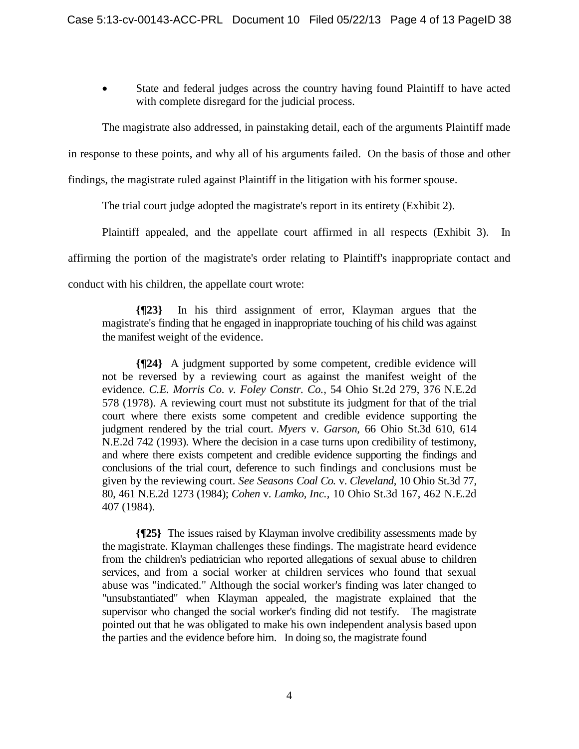State and federal judges across the country having found Plaintiff to have acted with complete disregard for the judicial process.

The magistrate also addressed, in painstaking detail, each of the arguments Plaintiff made

in response to these points, and why all of his arguments failed. On the basis of those and other

findings, the magistrate ruled against Plaintiff in the litigation with his former spouse.

The trial court judge adopted the magistrate's report in its entirety (Exhibit 2).

Plaintiff appealed, and the appellate court affirmed in all respects (Exhibit 3). In affirming the portion of the magistrate's order relating to Plaintiff's inappropriate contact and conduct with his children, the appellate court wrote:

**{¶23}** In his third assignment of error, Klayman argues that the magistrate's finding that he engaged in inappropriate touching of his child was against the manifest weight of the evidence.

**{¶24}** A judgment supported by some competent, credible evidence will not be reversed by a reviewing court as against the manifest weight of the evidence. *C.E. Morris Co. v. Foley Constr. Co.,* 54 Ohio St.2d 279, 376 N.E.2d 578 (1978). A reviewing court must not substitute its judgment for that of the trial court where there exists some competent and credible evidence supporting the judgment rendered by the trial court. *Myers* v. *Garson,* 66 Ohio St.3d 610, 614 N.E.2d 742 (1993). Where the decision in a case turns upon credibility of testimony, and where there exists competent and credible evidence supporting the findings and conclusions of the trial court, deference to such findings and conclusions must be given by the reviewing court. *See Seasons Coal Co.* v. *Cleveland,* 10 Ohio St.3d 77, 80, 461 N.E.2d 1273 (1984); *Cohen* v. *Lamko, Inc.,* 10 Ohio St.3d 167, 462 N.E.2d 407 (1984).

**{¶25}** The issues raised by Klayman involve credibility assessments made by the magistrate. Klayman challenges these findings. The magistrate heard evidence from the children's pediatrician who reported allegations of sexual abuse to children services, and from a social worker at children services who found that sexual abuse was "indicated." Although the social worker's finding was later changed to "unsubstantiated" when Klayman appealed, the magistrate explained that the supervisor who changed the social worker's finding did not testify. The magistrate pointed out that he was obligated to make his own independent analysis based upon the parties and the evidence before him. In doing so, the magistrate found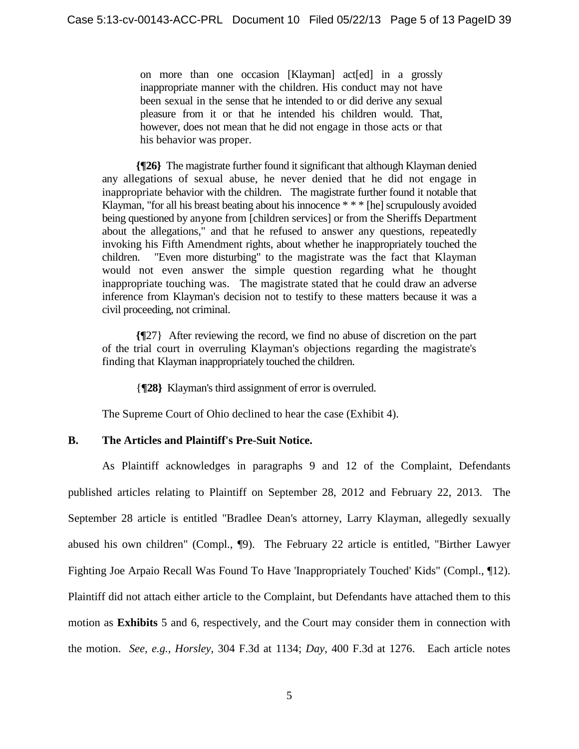on more than one occasion [Klayman] act[ed] in a grossly inappropriate manner with the children. His conduct may not have been sexual in the sense that he intended to or did derive any sexual pleasure from it or that he intended his children would. That, however, does not mean that he did not engage in those acts or that his behavior was proper.

**{¶26}** The magistrate further found it significant that although Klayman denied any allegations of sexual abuse, he never denied that he did not engage in inappropriate behavior with the children. The magistrate further found it notable that Klayman, "for all his breast beating about his innocence \* \* \* [he] scrupulously avoided being questioned by anyone from [children services] or from the Sheriffs Department about the allegations," and that he refused to answer any questions, repeatedly invoking his Fifth Amendment rights, about whether he inappropriately touched the children. "Even more disturbing" to the magistrate was the fact that Klayman would not even answer the simple question regarding what he thought inappropriate touching was. The magistrate stated that he could draw an adverse inference from Klayman's decision not to testify to these matters because it was a civil proceeding, not criminal.

**{¶**27} After reviewing the record, we find no abuse of discretion on the part of the trial court in overruling Klayman's objections regarding the magistrate's finding that Klayman inappropriately touched the children.

{**¶28}** Klayman's third assignment of error is overruled.

The Supreme Court of Ohio declined to hear the case (Exhibit 4).

# **B. The Articles and Plaintiff's Pre-Suit Notice.**

As Plaintiff acknowledges in paragraphs 9 and 12 of the Complaint, Defendants published articles relating to Plaintiff on September 28, 2012 and February 22, 2013. The September 28 article is entitled "Bradlee Dean's attorney, Larry Klayman, allegedly sexually abused his own children" (Compl., ¶9). The February 22 article is entitled, "Birther Lawyer Fighting Joe Arpaio Recall Was Found To Have 'Inappropriately Touched' Kids" (Compl., ¶12). Plaintiff did not attach either article to the Complaint, but Defendants have attached them to this motion as **Exhibits** 5 and 6, respectively, and the Court may consider them in connection with the motion. *See, e.g., Horsley*, 304 F.3d at 1134; *Day*, 400 F.3d at 1276. Each article notes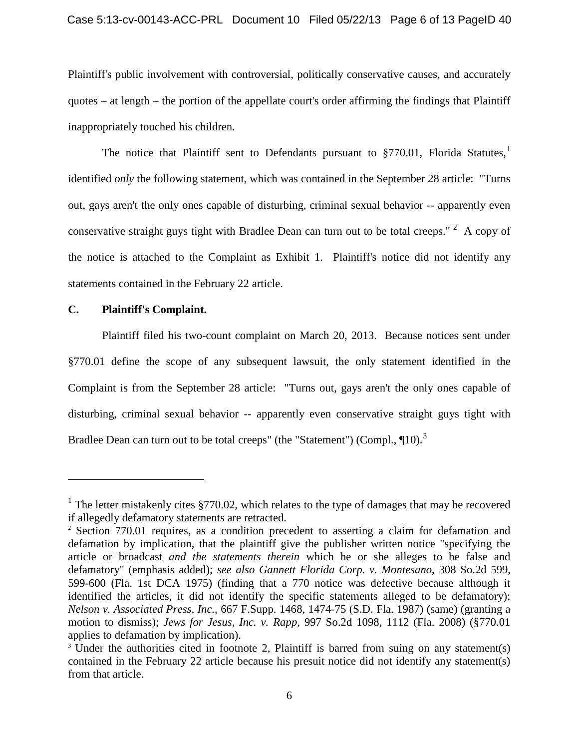Plaintiff's public involvement with controversial, politically conservative causes, and accurately quotes – at length – the portion of the appellate court's order affirming the findings that Plaintiff inappropriately touched his children.

The notice that Plaintiff sent to Defendants pursuant to §770.0[1](#page-5-0), Florida Statutes,<sup>1</sup> identified *only* the following statement, which was contained in the September 28 article: "Turns out, gays aren't the only ones capable of disturbing, criminal sexual behavior -- apparently even conservative straight guys tight with Bradlee Dean can turn out to be total creeps."  $2$  A copy of the notice is attached to the Complaint as Exhibit 1. Plaintiff's notice did not identify any statements contained in the February 22 article.

## **C. Plaintiff's Complaint.**

 $\overline{a}$ 

Plaintiff filed his two-count complaint on March 20, 2013. Because notices sent under §770.01 define the scope of any subsequent lawsuit, the only statement identified in the Complaint is from the September 28 article: "Turns out, gays aren't the only ones capable of disturbing, criminal sexual behavior -- apparently even conservative straight guys tight with Bradlee Dean can turn out to be total creeps" (the "Statement") (Compl.,  $\P{10}$ .<sup>[3](#page-5-2)</sup>

<span id="page-5-0"></span><sup>&</sup>lt;sup>1</sup> The letter mistakenly cites §770.02, which relates to the type of damages that may be recovered if allegedly defamatory statements are retracted.

<span id="page-5-1"></span><sup>&</sup>lt;sup>2</sup> Section 770.01 requires, as a condition precedent to asserting a claim for defamation and defamation by implication, that the plaintiff give the publisher written notice "specifying the article or broadcast *and the statements therein* which he or she alleges to be false and defamatory" (emphasis added); *see also Gannett Florida Corp. v. Montesano*, 308 So.2d 599, 599-600 (Fla. 1st DCA 1975) (finding that a 770 notice was defective because although it identified the articles, it did not identify the specific statements alleged to be defamatory); *Nelson v. Associated Press, Inc.*, 667 F.Supp. 1468, 1474-75 (S.D. Fla. 1987) (same) (granting a motion to dismiss); *Jews for Jesus, Inc. v. Rapp*, 997 So.2d 1098, 1112 (Fla. 2008) (§770.01 applies to defamation by implication).<br><sup>3</sup> Under the authorities cited in footnote 2, Plaintiff is barred from suing on any statement(s)

<span id="page-5-2"></span>contained in the February 22 article because his presuit notice did not identify any statement(s) from that article.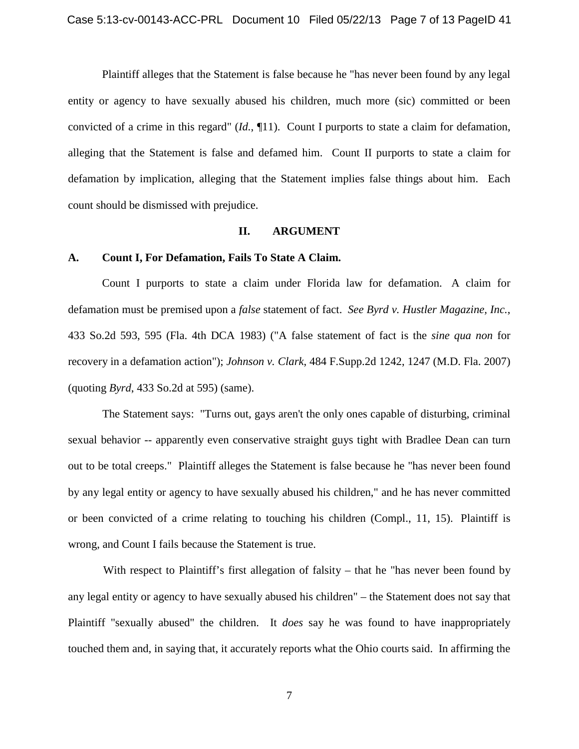Plaintiff alleges that the Statement is false because he "has never been found by any legal entity or agency to have sexually abused his children, much more (sic) committed or been convicted of a crime in this regard" (*Id.*, ¶11). Count I purports to state a claim for defamation, alleging that the Statement is false and defamed him. Count II purports to state a claim for defamation by implication, alleging that the Statement implies false things about him. Each count should be dismissed with prejudice.

#### **II. ARGUMENT**

#### **A. Count I, For Defamation, Fails To State A Claim.**

Count I purports to state a claim under Florida law for defamation. A claim for defamation must be premised upon a *false* statement of fact. *See Byrd v. Hustler Magazine, Inc.*, 433 So.2d 593, 595 (Fla. 4th DCA 1983) ("A false statement of fact is the *sine qua non* for recovery in a defamation action"); *Johnson v. Clark*, 484 F.Supp.2d 1242, 1247 (M.D. Fla. 2007) (quoting *Byrd*, 433 So.2d at 595) (same).

 The Statement says: "Turns out, gays aren't the only ones capable of disturbing, criminal sexual behavior -- apparently even conservative straight guys tight with Bradlee Dean can turn out to be total creeps." Plaintiff alleges the Statement is false because he "has never been found by any legal entity or agency to have sexually abused his children," and he has never committed or been convicted of a crime relating to touching his children (Compl., 11, 15). Plaintiff is wrong, and Count I fails because the Statement is true.

With respect to Plaintiff's first allegation of falsity – that he "has never been found by any legal entity or agency to have sexually abused his children" – the Statement does not say that Plaintiff "sexually abused" the children. It *does* say he was found to have inappropriately touched them and, in saying that, it accurately reports what the Ohio courts said. In affirming the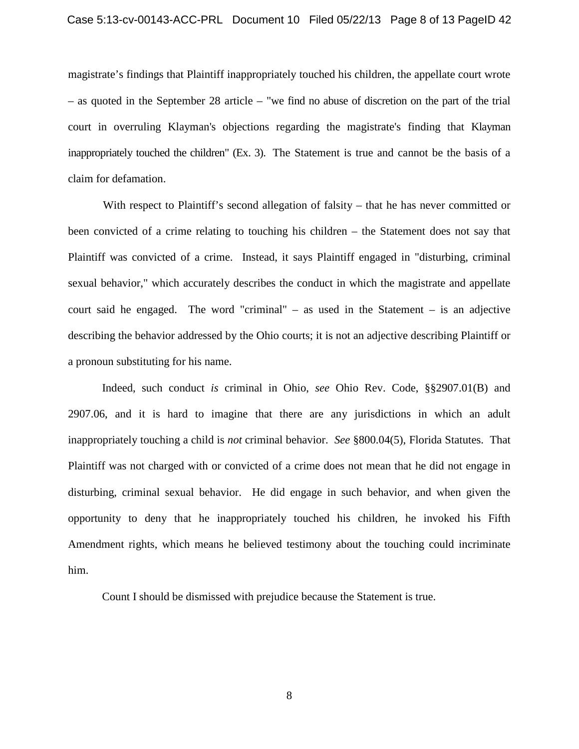magistrate's findings that Plaintiff inappropriately touched his children, the appellate court wrote – as quoted in the September 28 article – "we find no abuse of discretion on the part of the trial court in overruling Klayman's objections regarding the magistrate's finding that Klayman inappropriately touched the children" (Ex. 3). The Statement is true and cannot be the basis of a claim for defamation.

With respect to Plaintiff's second allegation of falsity – that he has never committed or been convicted of a crime relating to touching his children – the Statement does not say that Plaintiff was convicted of a crime. Instead, it says Plaintiff engaged in "disturbing, criminal sexual behavior," which accurately describes the conduct in which the magistrate and appellate court said he engaged. The word "criminal" – as used in the Statement – is an adjective describing the behavior addressed by the Ohio courts; it is not an adjective describing Plaintiff or a pronoun substituting for his name.

Indeed, such conduct *is* criminal in Ohio, *see* Ohio Rev. Code, §§2907.01(B) and 2907.06, and it is hard to imagine that there are any jurisdictions in which an adult inappropriately touching a child is *not* criminal behavior. *See* §800.04(5), Florida Statutes. That Plaintiff was not charged with or convicted of a crime does not mean that he did not engage in disturbing, criminal sexual behavior. He did engage in such behavior, and when given the opportunity to deny that he inappropriately touched his children, he invoked his Fifth Amendment rights, which means he believed testimony about the touching could incriminate him.

Count I should be dismissed with prejudice because the Statement is true.

8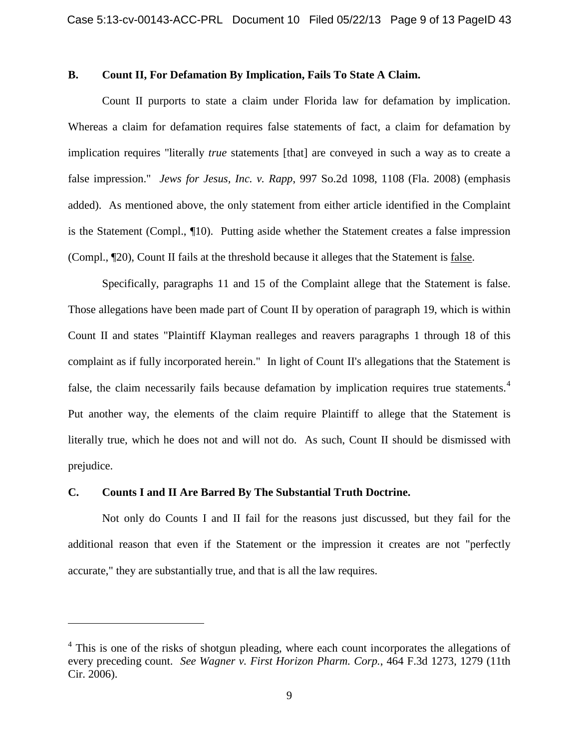## **B. Count II, For Defamation By Implication, Fails To State A Claim.**

Count II purports to state a claim under Florida law for defamation by implication. Whereas a claim for defamation requires false statements of fact, a claim for defamation by implication requires "literally *true* statements [that] are conveyed in such a way as to create a false impression." *Jews for Jesus, Inc. v. Rapp*, 997 So.2d 1098, 1108 (Fla. 2008) (emphasis added). As mentioned above, the only statement from either article identified in the Complaint is the Statement (Compl., ¶10). Putting aside whether the Statement creates a false impression (Compl., ¶20), Count II fails at the threshold because it alleges that the Statement is false.

Specifically, paragraphs 11 and 15 of the Complaint allege that the Statement is false. Those allegations have been made part of Count II by operation of paragraph 19, which is within Count II and states "Plaintiff Klayman realleges and reavers paragraphs 1 through 18 of this complaint as if fully incorporated herein." In light of Count II's allegations that the Statement is false, the claim necessarily fails because defamation by implication requires true statements.<sup>[4](#page-8-0)</sup> Put another way, the elements of the claim require Plaintiff to allege that the Statement is literally true, which he does not and will not do. As such, Count II should be dismissed with prejudice.

#### **C. Counts I and II Are Barred By The Substantial Truth Doctrine.**

 $\overline{a}$ 

Not only do Counts I and II fail for the reasons just discussed, but they fail for the additional reason that even if the Statement or the impression it creates are not "perfectly accurate," they are substantially true, and that is all the law requires.

<span id="page-8-0"></span> $4$  This is one of the risks of shotgun pleading, where each count incorporates the allegations of every preceding count. *See Wagner v. First Horizon Pharm. Corp.*, 464 F.3d 1273, 1279 (11th Cir. 2006).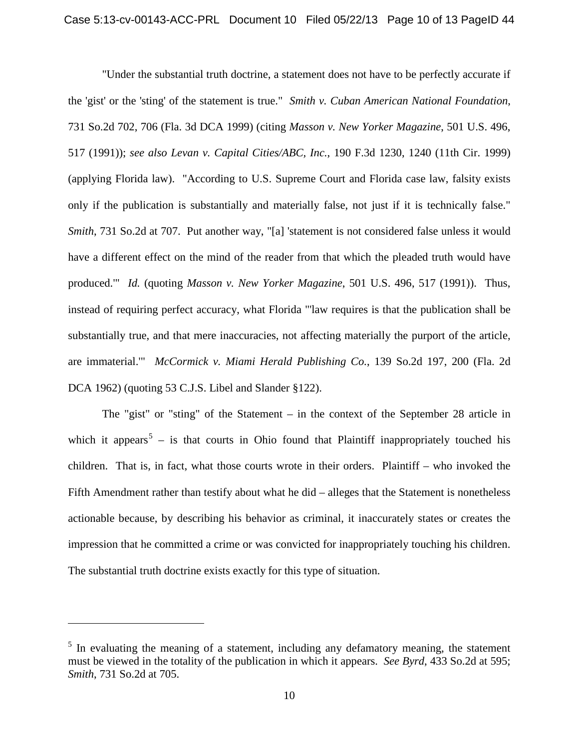"Under the substantial truth doctrine, a statement does not have to be perfectly accurate if the 'gist' or the 'sting' of the statement is true." *Smith v. Cuban American National Foundation*, 731 So.2d 702, 706 (Fla. 3d DCA 1999) (citing *Masson v. New Yorker Magazine*, 501 U.S. 496, 517 (1991)); *see also Levan v. Capital Cities/ABC, Inc.*, 190 F.3d 1230, 1240 (11th Cir. 1999) (applying Florida law). "According to U.S. Supreme Court and Florida case law, falsity exists only if the publication is substantially and materially false, not just if it is technically false." *Smith*, 731 So.2d at 707. Put another way, "[a] 'statement is not considered false unless it would have a different effect on the mind of the reader from that which the pleaded truth would have produced.'" *Id.* (quoting *Masson v. New Yorker Magazine*, 501 U.S. 496, 517 (1991)). Thus, instead of requiring perfect accuracy, what Florida "'law requires is that the publication shall be substantially true, and that mere inaccuracies, not affecting materially the purport of the article, are immaterial.'" *McCormick v. Miami Herald Publishing Co.*, 139 So.2d 197, 200 (Fla. 2d DCA 1962) (quoting 53 C.J.S. Libel and Slander §122).

The "gist" or "sting" of the Statement – in the context of the September 28 article in which it appears<sup>[5](#page-9-0)</sup> – is that courts in Ohio found that Plaintiff inappropriately touched his children. That is, in fact, what those courts wrote in their orders. Plaintiff – who invoked the Fifth Amendment rather than testify about what he did – alleges that the Statement is nonetheless actionable because, by describing his behavior as criminal, it inaccurately states or creates the impression that he committed a crime or was convicted for inappropriately touching his children. The substantial truth doctrine exists exactly for this type of situation.

 $\overline{a}$ 

<span id="page-9-0"></span> $<sup>5</sup>$  In evaluating the meaning of a statement, including any defamatory meaning, the statement</sup> must be viewed in the totality of the publication in which it appears. *See Byrd*, 433 So.2d at 595; *Smith*, 731 So.2d at 705.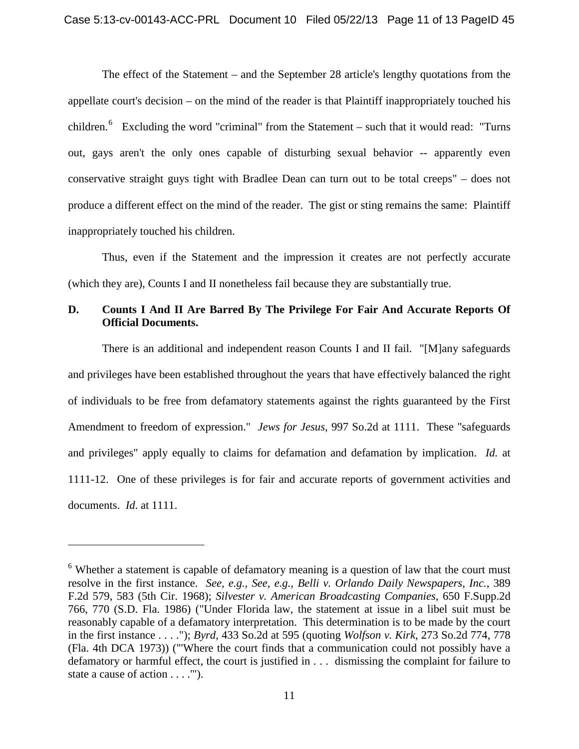The effect of the Statement – and the September 28 article's lengthy quotations from the appellate court's decision – on the mind of the reader is that Plaintiff inappropriately touched his children.<sup>[6](#page-10-0)</sup> Excluding the word "criminal" from the Statement – such that it would read: "Turns out, gays aren't the only ones capable of disturbing sexual behavior -- apparently even conservative straight guys tight with Bradlee Dean can turn out to be total creeps" – does not produce a different effect on the mind of the reader. The gist or sting remains the same: Plaintiff inappropriately touched his children.

Thus, even if the Statement and the impression it creates are not perfectly accurate (which they are), Counts I and II nonetheless fail because they are substantially true.

# **D. Counts I And II Are Barred By The Privilege For Fair And Accurate Reports Of Official Documents.**

There is an additional and independent reason Counts I and II fail. "[M]any safeguards and privileges have been established throughout the years that have effectively balanced the right of individuals to be free from defamatory statements against the rights guaranteed by the First Amendment to freedom of expression." *Jews for Jesus*, 997 So.2d at 1111. These "safeguards and privileges" apply equally to claims for defamation and defamation by implication. *Id.* at 1111-12. One of these privileges is for fair and accurate reports of government activities and documents. *Id*. at 1111.

 $\overline{a}$ 

<span id="page-10-0"></span> $6$  Whether a statement is capable of defamatory meaning is a question of law that the court must resolve in the first instance. *See, e.g., See, e.g., Belli v. Orlando Daily Newspapers, Inc.*, 389 F.2d 579, 583 (5th Cir. 1968); *Silvester v. American Broadcasting Companies*, 650 F.Supp.2d 766, 770 (S.D. Fla. 1986) ("Under Florida law, the statement at issue in a libel suit must be reasonably capable of a defamatory interpretation. This determination is to be made by the court in the first instance . . . ."); *Byrd*, 433 So.2d at 595 (quoting *Wolfson v. Kirk*, 273 So.2d 774, 778 (Fla. 4th DCA 1973)) ("'Where the court finds that a communication could not possibly have a defamatory or harmful effect, the court is justified in . . . dismissing the complaint for failure to state a cause of action . . . .'").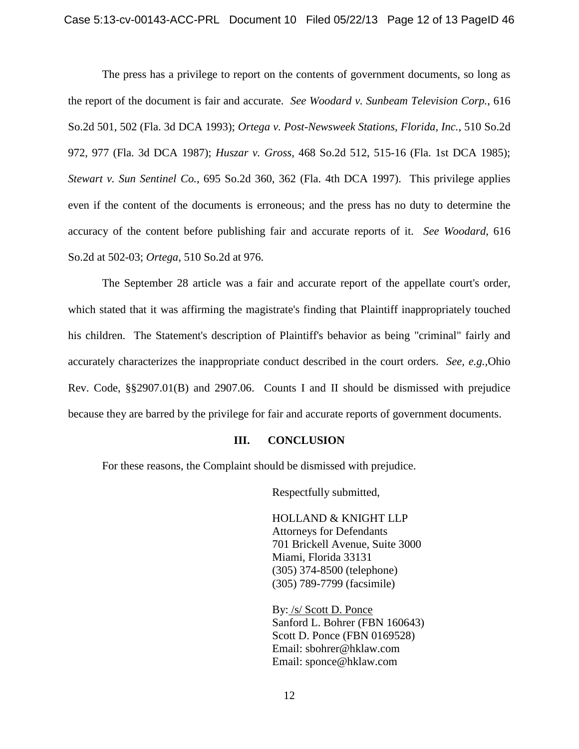The press has a privilege to report on the contents of government documents, so long as the report of the document is fair and accurate. *See Woodard v. Sunbeam Television Corp.*, 616 So.2d 501, 502 (Fla. 3d DCA 1993); *Ortega v. Post-Newsweek Stations, Florida, Inc.*, 510 So.2d 972, 977 (Fla. 3d DCA 1987); *Huszar v. Gross*, 468 So.2d 512, 515-16 (Fla. 1st DCA 1985); *Stewart v. Sun Sentinel Co.*, 695 So.2d 360, 362 (Fla. 4th DCA 1997). This privilege applies even if the content of the documents is erroneous; and the press has no duty to determine the accuracy of the content before publishing fair and accurate reports of it. *See Woodard*, 616 So.2d at 502-03; *Ortega*, 510 So.2d at 976.

The September 28 article was a fair and accurate report of the appellate court's order, which stated that it was affirming the magistrate's finding that Plaintiff inappropriately touched his children. The Statement's description of Plaintiff's behavior as being "criminal" fairly and accurately characterizes the inappropriate conduct described in the court orders. *See, e.g.,*Ohio Rev. Code, §§2907.01(B) and 2907.06. Counts I and II should be dismissed with prejudice because they are barred by the privilege for fair and accurate reports of government documents.

#### **III. CONCLUSION**

For these reasons, the Complaint should be dismissed with prejudice.

Respectfully submitted,

HOLLAND & KNIGHT LLP Attorneys for Defendants 701 Brickell Avenue, Suite 3000 Miami, Florida 33131 (305) 374-8500 (telephone) (305) 789-7799 (facsimile)

By: /s/ Scott D. Ponce Sanford L. Bohrer (FBN 160643) Scott D. Ponce (FBN 0169528) Email: sbohrer@hklaw.com Email: sponce@hklaw.com